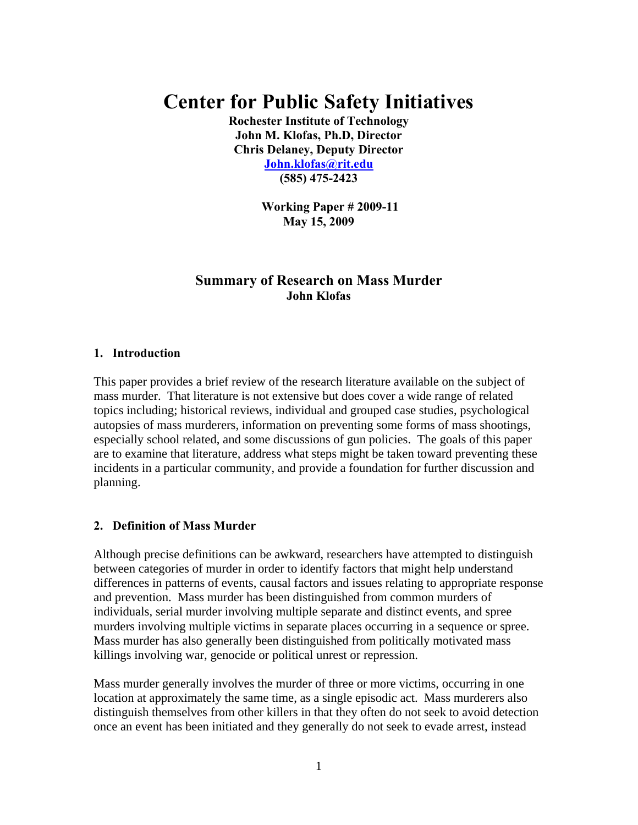# **Center for Public Safety Initiatives**

**Rochester Institute of Technology John M. Klofas, Ph.D, Director Chris Delaney, Deputy Director John.klofas@rit.edu (585) 475-2423** 

> **Working Paper # 2009-11 May 15, 2009**

# **Summary of Research on Mass Murder John Klofas**

### **1. Introduction**

This paper provides a brief review of the research literature available on the subject of mass murder. That literature is not extensive but does cover a wide range of related topics including; historical reviews, individual and grouped case studies, psychological autopsies of mass murderers, information on preventing some forms of mass shootings, especially school related, and some discussions of gun policies. The goals of this paper are to examine that literature, address what steps might be taken toward preventing these incidents in a particular community, and provide a foundation for further discussion and planning.

## **2. Definition of Mass Murder**

Although precise definitions can be awkward, researchers have attempted to distinguish between categories of murder in order to identify factors that might help understand differences in patterns of events, causal factors and issues relating to appropriate response and prevention. Mass murder has been distinguished from common murders of individuals, serial murder involving multiple separate and distinct events, and spree murders involving multiple victims in separate places occurring in a sequence or spree. Mass murder has also generally been distinguished from politically motivated mass killings involving war, genocide or political unrest or repression.

Mass murder generally involves the murder of three or more victims, occurring in one location at approximately the same time, as a single episodic act. Mass murderers also distinguish themselves from other killers in that they often do not seek to avoid detection once an event has been initiated and they generally do not seek to evade arrest, instead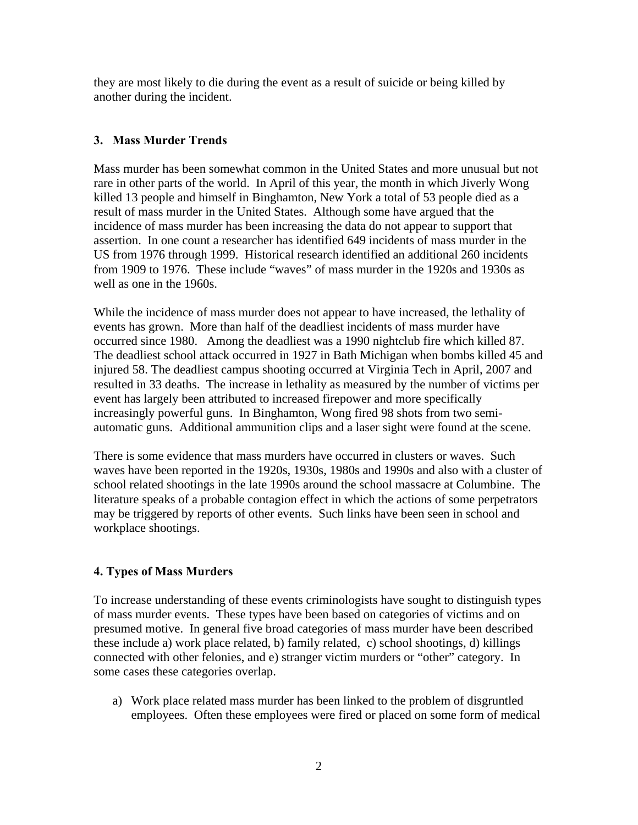they are most likely to die during the event as a result of suicide or being killed by another during the incident.

## **3. Mass Murder Trends**

Mass murder has been somewhat common in the United States and more unusual but not rare in other parts of the world. In April of this year, the month in which Jiverly Wong killed 13 people and himself in Binghamton, New York a total of 53 people died as a result of mass murder in the United States. Although some have argued that the incidence of mass murder has been increasing the data do not appear to support that assertion. In one count a researcher has identified 649 incidents of mass murder in the US from 1976 through 1999. Historical research identified an additional 260 incidents from 1909 to 1976. These include "waves" of mass murder in the 1920s and 1930s as well as one in the 1960s.

While the incidence of mass murder does not appear to have increased, the lethality of events has grown. More than half of the deadliest incidents of mass murder have occurred since 1980. Among the deadliest was a 1990 nightclub fire which killed 87. The deadliest school attack occurred in 1927 in Bath Michigan when bombs killed 45 and injured 58. The deadliest campus shooting occurred at Virginia Tech in April, 2007 and resulted in 33 deaths. The increase in lethality as measured by the number of victims per event has largely been attributed to increased firepower and more specifically increasingly powerful guns. In Binghamton, Wong fired 98 shots from two semiautomatic guns. Additional ammunition clips and a laser sight were found at the scene.

There is some evidence that mass murders have occurred in clusters or waves. Such waves have been reported in the 1920s, 1930s, 1980s and 1990s and also with a cluster of school related shootings in the late 1990s around the school massacre at Columbine. The literature speaks of a probable contagion effect in which the actions of some perpetrators may be triggered by reports of other events. Such links have been seen in school and workplace shootings.

# **4. Types of Mass Murders**

To increase understanding of these events criminologists have sought to distinguish types of mass murder events. These types have been based on categories of victims and on presumed motive. In general five broad categories of mass murder have been described these include a) work place related, b) family related, c) school shootings, d) killings connected with other felonies, and e) stranger victim murders or "other" category. In some cases these categories overlap.

a) Work place related mass murder has been linked to the problem of disgruntled employees. Often these employees were fired or placed on some form of medical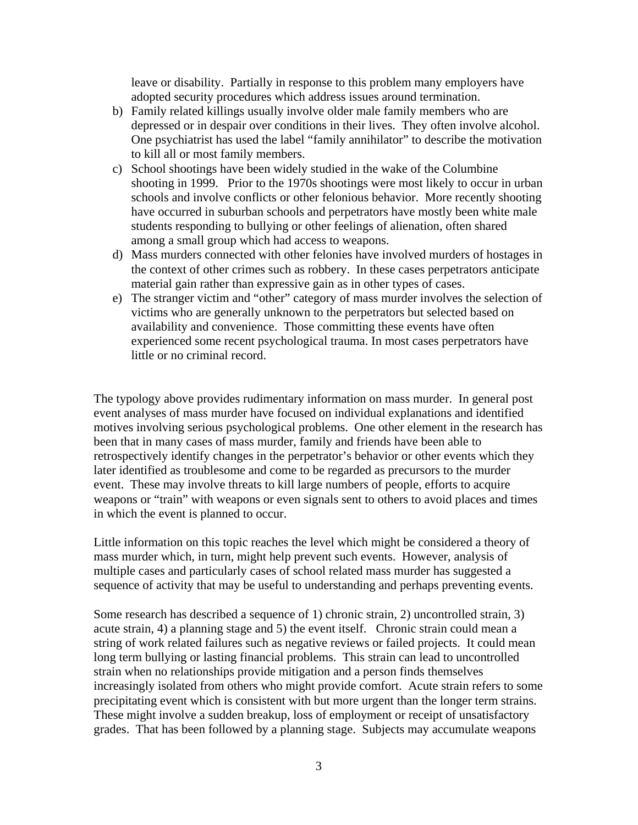leave or disability. Partially in response to this problem many employers have adopted security procedures which address issues around termination.

- b) Family related killings usually involve older male family members who are depressed or in despair over conditions in their lives. They often involve alcohol. One psychiatrist has used the label "family annihilator" to describe the motivation to kill all or most family members.
- c) School shootings have been widely studied in the wake of the Columbine shooting in 1999. Prior to the 1970s shootings were most likely to occur in urban schools and involve conflicts or other felonious behavior. More recently shooting have occurred in suburban schools and perpetrators have mostly been white male students responding to bullying or other feelings of alienation, often shared among a small group which had access to weapons.
- d) Mass murders connected with other felonies have involved murders of hostages in the context of other crimes such as robbery. In these cases perpetrators anticipate material gain rather than expressive gain as in other types of cases.
- e) The stranger victim and "other" category of mass murder involves the selection of victims who are generally unknown to the perpetrators but selected based on availability and convenience. Those committing these events have often experienced some recent psychological trauma. In most cases perpetrators have little or no criminal record.

The typology above provides rudimentary information on mass murder. In general post event analyses of mass murder have focused on individual explanations and identified motives involving serious psychological problems. One other element in the research has been that in many cases of mass murder, family and friends have been able to retrospectively identify changes in the perpetrator's behavior or other events which they later identified as troublesome and come to be regarded as precursors to the murder event. These may involve threats to kill large numbers of people, efforts to acquire weapons or "train" with weapons or even signals sent to others to avoid places and times in which the event is planned to occur.

Little information on this topic reaches the level which might be considered a theory of mass murder which, in turn, might help prevent such events. However, analysis of multiple cases and particularly cases of school related mass murder has suggested a sequence of activity that may be useful to understanding and perhaps preventing events.

Some research has described a sequence of 1) chronic strain, 2) uncontrolled strain, 3) acute strain, 4) a planning stage and 5) the event itself. Chronic strain could mean a string of work related failures such as negative reviews or failed projects. It could mean long term bullying or lasting financial problems. This strain can lead to uncontrolled strain when no relationships provide mitigation and a person finds themselves increasingly isolated from others who might provide comfort. Acute strain refers to some precipitating event which is consistent with but more urgent than the longer term strains. These might involve a sudden breakup, loss of employment or receipt of unsatisfactory grades. That has been followed by a planning stage. Subjects may accumulate weapons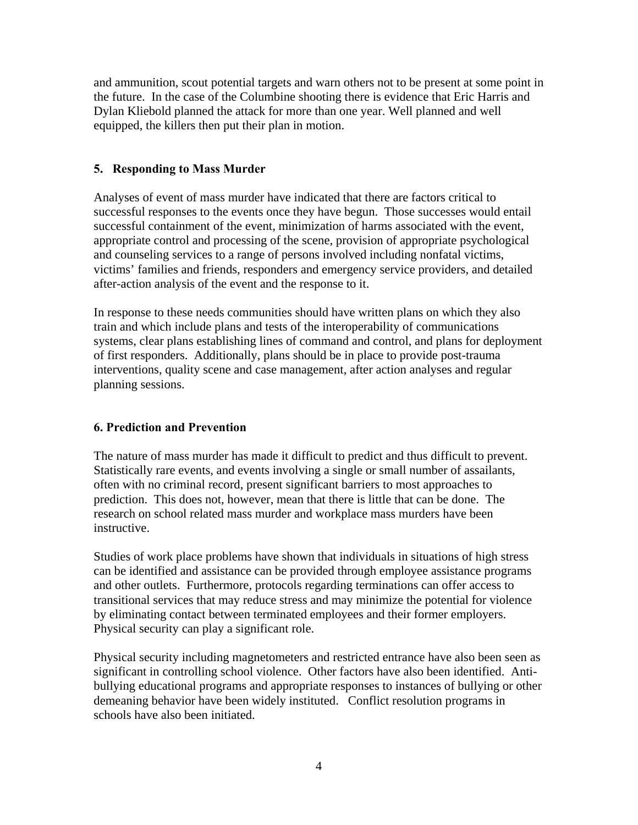and ammunition, scout potential targets and warn others not to be present at some point in the future. In the case of the Columbine shooting there is evidence that Eric Harris and Dylan Kliebold planned the attack for more than one year. Well planned and well equipped, the killers then put their plan in motion.

## **5. Responding to Mass Murder**

Analyses of event of mass murder have indicated that there are factors critical to successful responses to the events once they have begun. Those successes would entail successful containment of the event, minimization of harms associated with the event, appropriate control and processing of the scene, provision of appropriate psychological and counseling services to a range of persons involved including nonfatal victims, victims' families and friends, responders and emergency service providers, and detailed after-action analysis of the event and the response to it.

In response to these needs communities should have written plans on which they also train and which include plans and tests of the interoperability of communications systems, clear plans establishing lines of command and control, and plans for deployment of first responders. Additionally, plans should be in place to provide post-trauma interventions, quality scene and case management, after action analyses and regular planning sessions.

## **6. Prediction and Prevention**

The nature of mass murder has made it difficult to predict and thus difficult to prevent. Statistically rare events, and events involving a single or small number of assailants, often with no criminal record, present significant barriers to most approaches to prediction. This does not, however, mean that there is little that can be done. The research on school related mass murder and workplace mass murders have been instructive.

Studies of work place problems have shown that individuals in situations of high stress can be identified and assistance can be provided through employee assistance programs and other outlets. Furthermore, protocols regarding terminations can offer access to transitional services that may reduce stress and may minimize the potential for violence by eliminating contact between terminated employees and their former employers. Physical security can play a significant role.

Physical security including magnetometers and restricted entrance have also been seen as significant in controlling school violence. Other factors have also been identified. Antibullying educational programs and appropriate responses to instances of bullying or other demeaning behavior have been widely instituted. Conflict resolution programs in schools have also been initiated.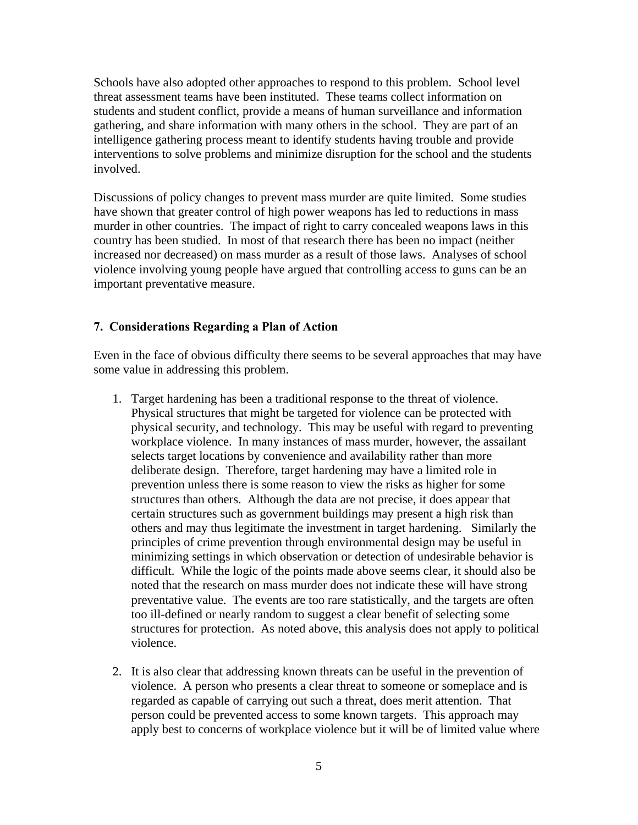Schools have also adopted other approaches to respond to this problem. School level threat assessment teams have been instituted. These teams collect information on students and student conflict, provide a means of human surveillance and information gathering, and share information with many others in the school. They are part of an intelligence gathering process meant to identify students having trouble and provide interventions to solve problems and minimize disruption for the school and the students involved.

Discussions of policy changes to prevent mass murder are quite limited. Some studies have shown that greater control of high power weapons has led to reductions in mass murder in other countries. The impact of right to carry concealed weapons laws in this country has been studied. In most of that research there has been no impact (neither increased nor decreased) on mass murder as a result of those laws. Analyses of school violence involving young people have argued that controlling access to guns can be an important preventative measure.

### **7. Considerations Regarding a Plan of Action**

Even in the face of obvious difficulty there seems to be several approaches that may have some value in addressing this problem.

- 1. Target hardening has been a traditional response to the threat of violence. Physical structures that might be targeted for violence can be protected with physical security, and technology. This may be useful with regard to preventing workplace violence. In many instances of mass murder, however, the assailant selects target locations by convenience and availability rather than more deliberate design. Therefore, target hardening may have a limited role in prevention unless there is some reason to view the risks as higher for some structures than others. Although the data are not precise, it does appear that certain structures such as government buildings may present a high risk than others and may thus legitimate the investment in target hardening. Similarly the principles of crime prevention through environmental design may be useful in minimizing settings in which observation or detection of undesirable behavior is difficult. While the logic of the points made above seems clear, it should also be noted that the research on mass murder does not indicate these will have strong preventative value. The events are too rare statistically, and the targets are often too ill-defined or nearly random to suggest a clear benefit of selecting some structures for protection. As noted above, this analysis does not apply to political violence.
- 2. It is also clear that addressing known threats can be useful in the prevention of violence. A person who presents a clear threat to someone or someplace and is regarded as capable of carrying out such a threat, does merit attention. That person could be prevented access to some known targets. This approach may apply best to concerns of workplace violence but it will be of limited value where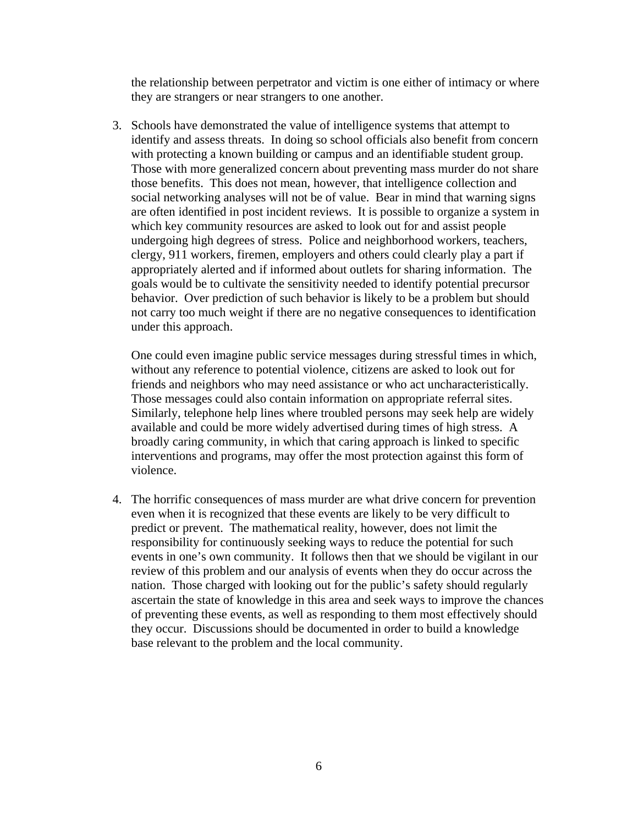the relationship between perpetrator and victim is one either of intimacy or where they are strangers or near strangers to one another.

3. Schools have demonstrated the value of intelligence systems that attempt to identify and assess threats. In doing so school officials also benefit from concern with protecting a known building or campus and an identifiable student group. Those with more generalized concern about preventing mass murder do not share those benefits. This does not mean, however, that intelligence collection and social networking analyses will not be of value. Bear in mind that warning signs are often identified in post incident reviews. It is possible to organize a system in which key community resources are asked to look out for and assist people undergoing high degrees of stress. Police and neighborhood workers, teachers, clergy, 911 workers, firemen, employers and others could clearly play a part if appropriately alerted and if informed about outlets for sharing information. The goals would be to cultivate the sensitivity needed to identify potential precursor behavior. Over prediction of such behavior is likely to be a problem but should not carry too much weight if there are no negative consequences to identification under this approach.

One could even imagine public service messages during stressful times in which, without any reference to potential violence, citizens are asked to look out for friends and neighbors who may need assistance or who act uncharacteristically. Those messages could also contain information on appropriate referral sites. Similarly, telephone help lines where troubled persons may seek help are widely available and could be more widely advertised during times of high stress. A broadly caring community, in which that caring approach is linked to specific interventions and programs, may offer the most protection against this form of violence.

4. The horrific consequences of mass murder are what drive concern for prevention even when it is recognized that these events are likely to be very difficult to predict or prevent. The mathematical reality, however, does not limit the responsibility for continuously seeking ways to reduce the potential for such events in one's own community. It follows then that we should be vigilant in our review of this problem and our analysis of events when they do occur across the nation. Those charged with looking out for the public's safety should regularly ascertain the state of knowledge in this area and seek ways to improve the chances of preventing these events, as well as responding to them most effectively should they occur. Discussions should be documented in order to build a knowledge base relevant to the problem and the local community.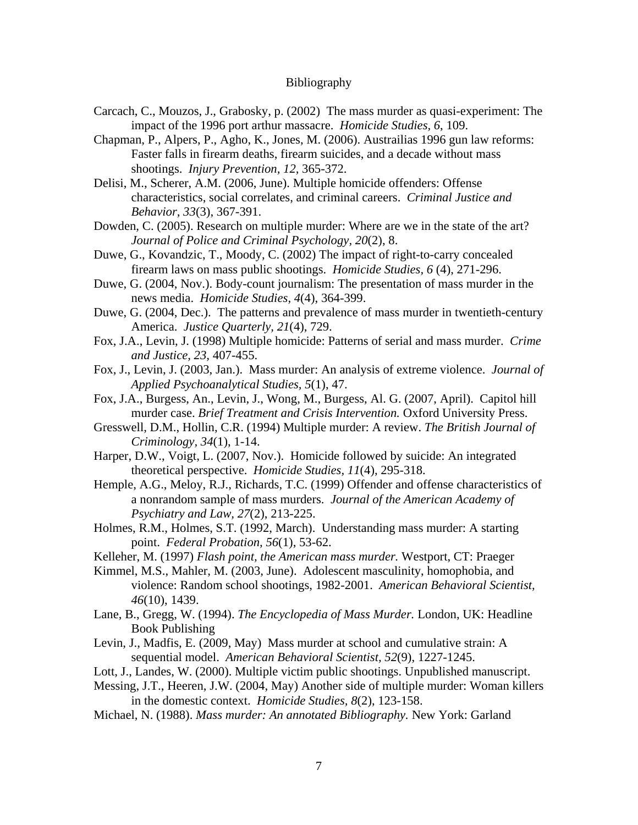#### Bibliography

- Carcach, C., Mouzos, J., Grabosky, p. (2002) The mass murder as quasi-experiment: The impact of the 1996 port arthur massacre. *Homicide Studies, 6*, 109.
- Chapman, P., Alpers, P., Agho, K., Jones, M. (2006). Austrailias 1996 gun law reforms: Faster falls in firearm deaths, firearm suicides, and a decade without mass shootings. *Injury Prevention, 12,* 365-372.
- Delisi, M., Scherer, A.M. (2006, June). Multiple homicide offenders: Offense characteristics, social correlates, and criminal careers. *Criminal Justice and Behavior, 33*(3), 367-391.
- Dowden, C. (2005). Research on multiple murder: Where are we in the state of the art? *Journal of Police and Criminal Psychology, 20*(2), 8.
- Duwe, G., Kovandzic, T., Moody, C. (2002) The impact of right-to-carry concealed firearm laws on mass public shootings. *Homicide Studies, 6* (4), 271-296.
- Duwe, G. (2004, Nov.). Body-count journalism: The presentation of mass murder in the news media. *Homicide Studies, 4*(4), 364-399.
- Duwe, G. (2004, Dec.). The patterns and prevalence of mass murder in twentieth-century America. *Justice Quarterly, 21*(4), 729.
- Fox, J.A., Levin, J. (1998) Multiple homicide: Patterns of serial and mass murder. *Crime and Justice, 23,* 407-455.
- Fox, J., Levin, J. (2003, Jan.). Mass murder: An analysis of extreme violence. *Journal of Applied Psychoanalytical Studies, 5*(1), 47.
- Fox, J.A., Burgess, An., Levin, J., Wong, M., Burgess, Al. G. (2007, April). Capitol hill murder case. *Brief Treatment and Crisis Intervention.* Oxford University Press.
- Gresswell, D.M., Hollin, C.R. (1994) Multiple murder: A review. *The British Journal of Criminology, 34*(1), 1-14.
- Harper, D.W., Voigt, L. (2007, Nov.). Homicide followed by suicide: An integrated theoretical perspective. *Homicide Studies, 11*(4), 295-318.
- Hemple, A.G., Meloy, R.J., Richards, T.C. (1999) Offender and offense characteristics of a nonrandom sample of mass murders. *Journal of the American Academy of Psychiatry and Law, 27*(2), 213-225.
- Holmes, R.M., Holmes, S.T. (1992, March). Understanding mass murder: A starting point. *Federal Probation, 56*(1), 53-62.
- Kelleher, M. (1997) *Flash point, the American mass murder.* Westport, CT: Praeger
- Kimmel, M.S., Mahler, M. (2003, June). Adolescent masculinity, homophobia, and violence: Random school shootings, 1982-2001. *American Behavioral Scientist, 46*(10), 1439.
- Lane, B., Gregg, W. (1994). *The Encyclopedia of Mass Murder.* London, UK: Headline Book Publishing
- Levin, J., Madfis, E. (2009, May) Mass murder at school and cumulative strain: A sequential model. *American Behavioral Scientist, 52*(9), 1227-1245.
- Lott, J., Landes, W. (2000). Multiple victim public shootings. Unpublished manuscript.
- Messing, J.T., Heeren, J.W. (2004, May) Another side of multiple murder: Woman killers in the domestic context. *Homicide Studies, 8*(2), 123-158.
- Michael, N. (1988). *Mass murder: An annotated Bibliography.* New York: Garland